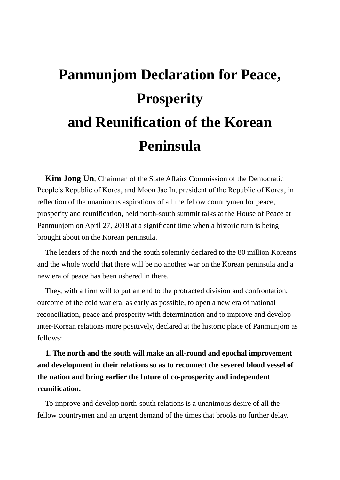# **Panmunjom Declaration for Peace, Prosperity and Reunification of the Korean Peninsula**

**Kim Jong Un**, Chairman of the State Affairs Commission of the Democratic People's Republic of Korea, and Moon Jae In, president of the Republic of Korea, in reflection of the unanimous aspirations of all the fellow countrymen for peace, prosperity and reunification, held north-south summit talks at the House of Peace at Panmunjom on April 27, 2018 at a significant time when a historic turn is being brought about on the Korean peninsula.

The leaders of the north and the south solemnly declared to the 80 million Koreans and the whole world that there will be no another war on the Korean peninsula and a new era of peace has been ushered in there.

They, with a firm will to put an end to the protracted division and confrontation, outcome of the cold war era, as early as possible, to open a new era of national reconciliation, peace and prosperity with determination and to improve and develop inter-Korean relations more positively, declared at the historic place of Panmunjom as follows:

**1. The north and the south will make an all-round and epochal improvement and development in their relations so as to reconnect the severed blood vessel of the nation and bring earlier the future of co-prosperity and independent reunification.**

To improve and develop north-south relations is a unanimous desire of all the fellow countrymen and an urgent demand of the times that brooks no further delay.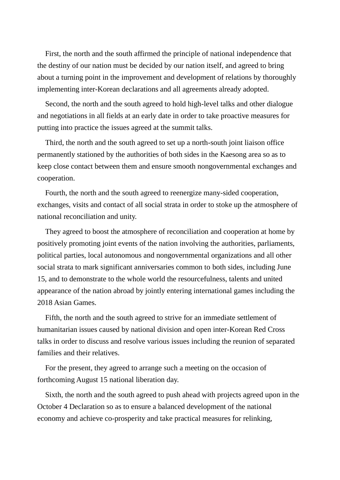First, the north and the south affirmed the principle of national independence that the destiny of our nation must be decided by our nation itself, and agreed to bring about a turning point in the improvement and development of relations by thoroughly implementing inter-Korean declarations and all agreements already adopted.

Second, the north and the south agreed to hold high-level talks and other dialogue and negotiations in all fields at an early date in order to take proactive measures for putting into practice the issues agreed at the summit talks.

Third, the north and the south agreed to set up a north-south joint liaison office permanently stationed by the authorities of both sides in the Kaesong area so as to keep close contact between them and ensure smooth nongovernmental exchanges and cooperation.

Fourth, the north and the south agreed to reenergize many-sided cooperation, exchanges, visits and contact of all social strata in order to stoke up the atmosphere of national reconciliation and unity.

They agreed to boost the atmosphere of reconciliation and cooperation at home by positively promoting joint events of the nation involving the authorities, parliaments, political parties, local autonomous and nongovernmental organizations and all other social strata to mark significant anniversaries common to both sides, including June 15, and to demonstrate to the whole world the resourcefulness, talents and united appearance of the nation abroad by jointly entering international games including the 2018 Asian Games.

Fifth, the north and the south agreed to strive for an immediate settlement of humanitarian issues caused by national division and open inter-Korean Red Cross talks in order to discuss and resolve various issues including the reunion of separated families and their relatives.

For the present, they agreed to arrange such a meeting on the occasion of forthcoming August 15 national liberation day.

Sixth, the north and the south agreed to push ahead with projects agreed upon in the October 4 Declaration so as to ensure a balanced development of the national economy and achieve co-prosperity and take practical measures for relinking,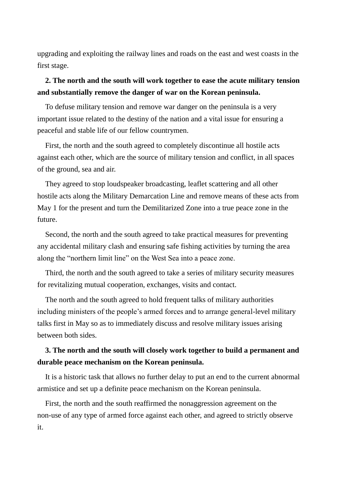upgrading and exploiting the railway lines and roads on the east and west coasts in the first stage.

## **2. The north and the south will work together to ease the acute military tension and substantially remove the danger of war on the Korean peninsula.**

To defuse military tension and remove war danger on the peninsula is a very important issue related to the destiny of the nation and a vital issue for ensuring a peaceful and stable life of our fellow countrymen.

First, the north and the south agreed to completely discontinue all hostile acts against each other, which are the source of military tension and conflict, in all spaces of the ground, sea and air.

They agreed to stop loudspeaker broadcasting, leaflet scattering and all other hostile acts along the Military Demarcation Line and remove means of these acts from May 1 for the present and turn the Demilitarized Zone into a true peace zone in the future.

Second, the north and the south agreed to take practical measures for preventing any accidental military clash and ensuring safe fishing activities by turning the area along the "northern limit line" on the West Sea into a peace zone.

Third, the north and the south agreed to take a series of military security measures for revitalizing mutual cooperation, exchanges, visits and contact.

The north and the south agreed to hold frequent talks of military authorities including ministers of the people's armed forces and to arrange general-level military talks first in May so as to immediately discuss and resolve military issues arising between both sides.

## **3. The north and the south will closely work together to build a permanent and durable peace mechanism on the Korean peninsula.**

It is a historic task that allows no further delay to put an end to the current abnormal armistice and set up a definite peace mechanism on the Korean peninsula.

First, the north and the south reaffirmed the nonaggression agreement on the non-use of any type of armed force against each other, and agreed to strictly observe it.